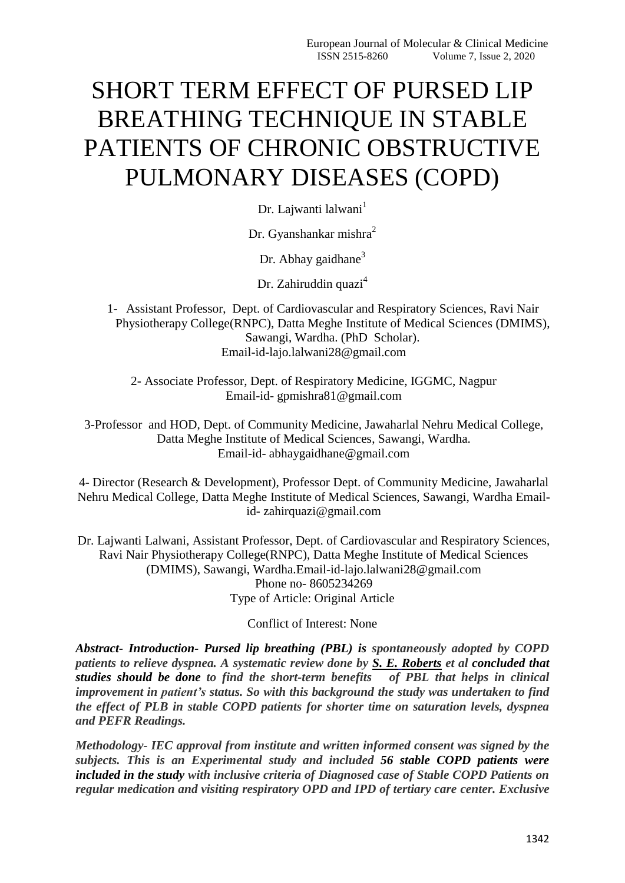# SHORT TERM EFFECT OF PURSED LIP BREATHING TECHNIQUE IN STABLE PATIENTS OF CHRONIC OBSTRUCTIVE PULMONARY DISEASES (COPD)

Dr. Lajwanti lalwani<sup>1</sup>

Dr. Gyanshankar mishra<sup>2</sup>

Dr. Abhay gaidhane $3$ 

Dr. Zahiruddin quazi<sup>4</sup>

1- Assistant Professor, Dept. of Cardiovascular and Respiratory Sciences, Ravi Nair Physiotherapy College(RNPC), Datta Meghe Institute of Medical Sciences (DMIMS), Sawangi, Wardha. (PhD Scholar). Email-id-lajo.lalwani28@gmail.com

2- Associate Professor, Dept. of Respiratory Medicine, IGGMC, Nagpur Email-id- gpmishra81@gmail.com

3-Professor and HOD, Dept. of Community Medicine, Jawaharlal Nehru Medical College, Datta Meghe Institute of Medical Sciences, Sawangi, Wardha. Email-id- abhaygaidhane@gmail.com

4- Director (Research & Development), Professor Dept. of Community Medicine, Jawaharlal Nehru Medical College, Datta Meghe Institute of Medical Sciences, Sawangi, Wardha Emailid- zahirquazi@gmail.com

Dr. Lajwanti Lalwani, Assistant Professor, Dept. of Cardiovascular and Respiratory Sciences, Ravi Nair Physiotherapy College(RNPC), Datta Meghe Institute of Medical Sciences (DMIMS), Sawangi, Wardha.Email-id-lajo.lalwani28@gmail.com Phone no- 8605234269 Type of Article: Original Article

Conflict of Interest: None

*Abstract- Introduction- Pursed lip breathing (PBL) is spontaneously adopted by COPD patients to relieve dyspnea. A systematic review done by S. E. [Roberts](http://www.tandfonline.com/author/Roberts%2C+S+E) et al concluded that studies should be done to find the short-term benefits of PBL that helps in clinical improvement in patient's status. So with this background the study was undertaken to find the effect of PLB in stable COPD patients for shorter time on saturation levels, dyspnea and PEFR Readings.*

*Methodology- IEC approval from institute and written informed consent was signed by the subjects. This is an Experimental study and included 56 stable COPD patients were included in the study with inclusive criteria of Diagnosed case of Stable COPD Patients on regular medication and visiting respiratory OPD and IPD of tertiary care center. Exclusive*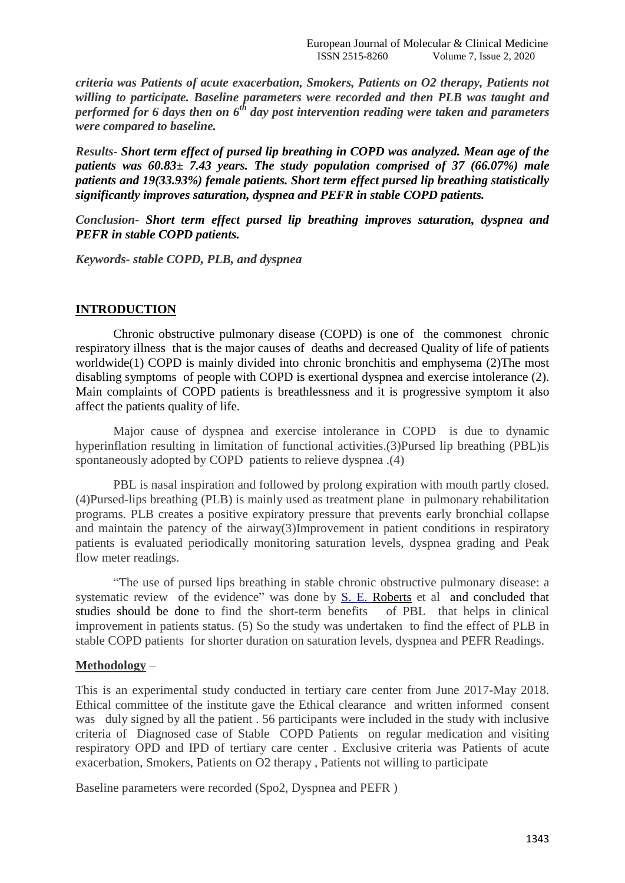*criteria was Patients of acute exacerbation, Smokers, Patients on O2 therapy, Patients not willing to participate. Baseline parameters were recorded and then PLB was taught and performed for 6 days then on 6th day post intervention reading were taken and parameters were compared to baseline.*

*Results- Short term effect of pursed lip breathing in COPD was analyzed. Mean age of the patients was 60.83± 7.43 years. The study population comprised of 37 (66.07%) male patients and 19(33.93%) female patients. Short term effect pursed lip breathing statistically significantly improves saturation, dyspnea and PEFR in stable COPD patients.*

*Conclusion- Short term effect pursed lip breathing improves saturation, dyspnea and PEFR in stable COPD patients.*

*Keywords- stable COPD, PLB, and dyspnea*

#### **INTRODUCTION**

Chronic obstructive pulmonary disease (COPD) is one of the commonest chronic respiratory illness that is the major causes of deaths and decreased Quality of life of patients worldwide(1) COPD is mainly divided into chronic bronchitis and emphysema (2)The most disabling symptoms of people with COPD is exertional dyspnea and exercise intolerance (2). Main complaints of COPD patients is breathlessness and it is progressive symptom it also affect the patients quality of life.

Major cause of dyspnea and exercise intolerance in COPD is due to dynamic hyperinflation resulting in limitation of functional activities.(3)Pursed lip breathing (PBL)is spontaneously adopted by COPD patients to relieve dyspnea .(4)

PBL is nasal inspiration and followed by prolong expiration with mouth partly closed. (4)Pursed-lips breathing (PLB) is mainly used as treatment plane in pulmonary rehabilitation programs. PLB creates a positive expiratory pressure that prevents early bronchial collapse and maintain the patency of the airway(3)Improvement in patient conditions in respiratory patients is evaluated periodically monitoring saturation levels, dyspnea grading and Peak flow meter readings.

"The use of pursed lips breathing in stable chronic obstructive pulmonary disease: a systematic review of the evidence" was done by [S. E. Roberts](http://www.tandfonline.com/author/Roberts%2C+S+E) et al and concluded that studies should be done to find the short-term benefits of PBL that helps in clinical improvement in patients status. (5) So the study was undertaken to find the effect of PLB in stable COPD patients for shorter duration on saturation levels, dyspnea and PEFR Readings.

### **Methodology** –

This is an experimental study conducted in tertiary care center from June 2017-May 2018. Ethical committee of the institute gave the Ethical clearance and written informed consent was duly signed by all the patient . 56 participants were included in the study with inclusive criteria of Diagnosed case of Stable COPD Patients on regular medication and visiting respiratory OPD and IPD of tertiary care center . Exclusive criteria was Patients of acute exacerbation, Smokers, Patients on O2 therapy , Patients not willing to participate

Baseline parameters were recorded (Spo2, Dyspnea and PEFR )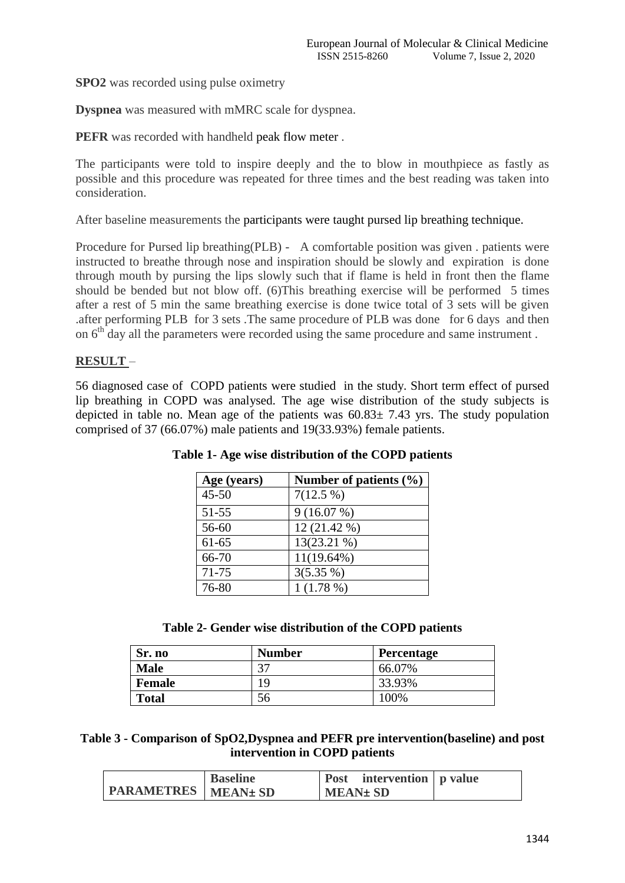**SPO2** was recorded using pulse oximetry

**Dyspnea** was measured with mMRC scale for dyspnea.

**PEFR** was recorded with handheld peak flow meter.

The participants were told to inspire deeply and the to blow in mouthpiece as fastly as possible and this procedure was repeated for three times and the best reading was taken into consideration.

After baseline measurements the participants were taught pursed lip breathing technique.

Procedure for Pursed lip breathing(PLB) - A comfortable position was given . patients were instructed to breathe through nose and inspiration should be slowly and expiration is done through mouth by pursing the lips slowly such that if flame is held in front then the flame should be bended but not blow off. (6)This breathing exercise will be performed 5 times after a rest of 5 min the same breathing exercise is done twice total of 3 sets will be given .after performing PLB for 3 sets .The same procedure of PLB was done for 6 days and then on  $6<sup>th</sup>$  day all the parameters were recorded using the same procedure and same instrument.

## **RESULT** –

56 diagnosed case of COPD patients were studied in the study. Short term effect of pursed lip breathing in COPD was analysed. The age wise distribution of the study subjects is depicted in table no. Mean age of the patients was  $60.83 \pm 7.43$  yrs. The study population comprised of 37 (66.07%) male patients and 19(33.93%) female patients.

| Age (years) | Number of patients $(\% )$ |
|-------------|----------------------------|
| $45 - 50$   | $7(12.5\%)$                |
| $51 - 55$   | 9(16.07%)                  |
| 56-60       | $12(21.42\%)$              |
| $61 - 65$   | $13(23.21\%)$              |
| 66-70       | $11(19.64\%)$              |
| $71 - 75$   | $3(5.35\%)$                |
| 76-80       | $1(1.78\%)$                |

**Table 1- Age wise distribution of the COPD patients**

| Table 2- Gender wise distribution of the COPD patients |  |  |  |  |  |  |
|--------------------------------------------------------|--|--|--|--|--|--|
|--------------------------------------------------------|--|--|--|--|--|--|

| Sr. no        | <b>Number</b> | Percentage |
|---------------|---------------|------------|
| <b>Male</b>   | 27            | 66.07%     |
| <b>Female</b> | 19            | 33.93%     |
| <b>Total</b>  |               | 100%       |

**Table 3 - Comparison of SpO2,Dyspnea and PEFR pre intervention(baseline) and post intervention in COPD patients**

|                              | <b>Baseline</b> | intervention p value<br>Post |  |
|------------------------------|-----------------|------------------------------|--|
| <b>PARAMETRES</b>   MEAN± SD |                 | <b>MEAN</b> ± SD             |  |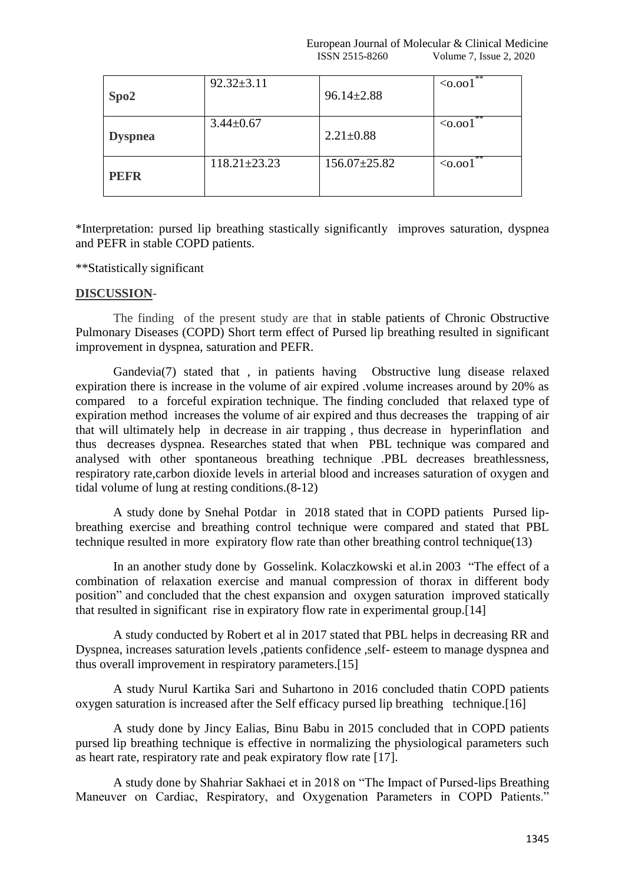| Spo2           | $92.32 \pm 3.11$   | $96.14 \pm 2.88$   | **<br>$\leq 0.001$ |
|----------------|--------------------|--------------------|--------------------|
| <b>Dyspnea</b> | $3.44 \pm 0.67$    | $2.21 \pm 0.88$    | $**$<br>$0.001$    |
| <b>PEFR</b>    | $118.21 \pm 23.23$ | $156.07 \pm 25.82$ | $**$<br>$0.001$    |

\*Interpretation: pursed lip breathing stastically significantly improves saturation, dyspnea and PEFR in stable COPD patients.

### \*\*Statistically significant

## **DISCUSSION**-

The finding of the present study are that in stable patients of Chronic Obstructive Pulmonary Diseases (COPD) Short term effect of Pursed lip breathing resulted in significant improvement in dyspnea, saturation and PEFR.

Gandevia(7) stated that , in patients having Obstructive lung disease relaxed expiration there is increase in the volume of air expired .volume increases around by 20% as compared to a forceful expiration technique. The finding concluded that relaxed type of expiration method increases the volume of air expired and thus decreases the trapping of air that will ultimately help in decrease in air trapping , thus decrease in hyperinflation and thus decreases dyspnea. Researches stated that when PBL technique was compared and analysed with other spontaneous breathing technique .PBL decreases breathlessness, respiratory rate,carbon dioxide levels in arterial blood and increases saturation of oxygen and tidal volume of lung at resting conditions.(8-12)

A study done by Snehal Potdar in 2018 stated that in COPD patients Pursed lipbreathing exercise and breathing control technique were compared and stated that PBL technique resulted in more expiratory flow rate than other breathing control technique(13)

In an another study done by Gosselink. Kolaczkowski et al.in 2003 "The effect of a combination of relaxation exercise and manual compression of thorax in different body position" and concluded that the chest expansion and oxygen saturation improved statically that resulted in significant rise in expiratory flow rate in experimental group.[14]

A study conducted by Robert et al in 2017 stated that PBL helps in decreasing RR and Dyspnea, increases saturation levels ,patients confidence ,self- esteem to manage dyspnea and thus overall improvement in respiratory parameters.[15]

A study Nurul Kartika Sari and Suhartono in 2016 concluded thatin COPD patients oxygen saturation is increased after the Self efficacy pursed lip breathing technique.[16]

A study done by Jincy Ealias, Binu Babu in 2015 concluded that in COPD patients pursed lip breathing technique is effective in normalizing the physiological parameters such as heart rate, respiratory rate and peak expiratory flow rate [17].

A study done by Shahriar Sakhaei et in 2018 on "The Impact of Pursed-lips Breathing Maneuver on Cardiac, Respiratory, and Oxygenation Parameters in COPD Patients."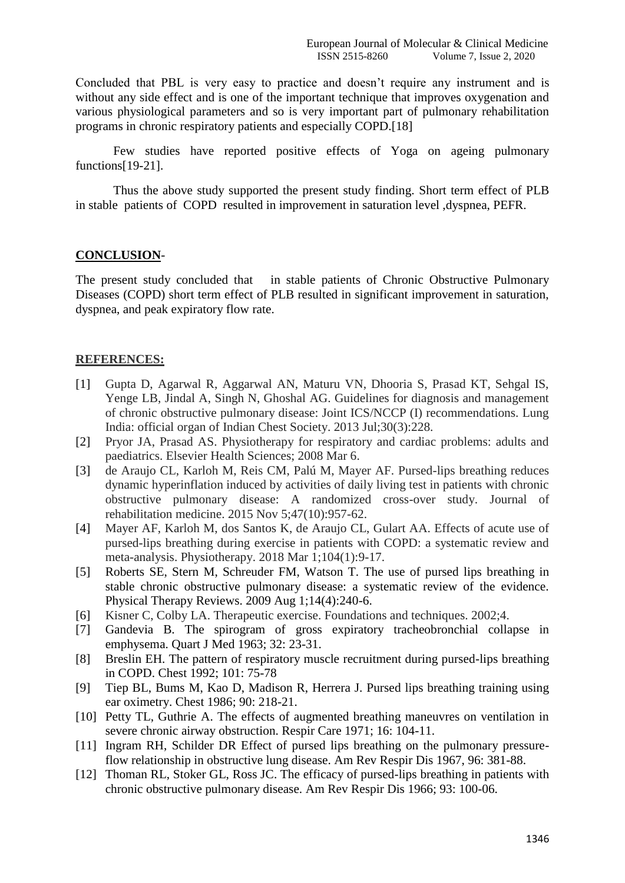Concluded that PBL is very easy to practice and doesn't require any instrument and is without any side effect and is one of the important technique that improves oxygenation and various physiological parameters and so is very important part of pulmonary rehabilitation programs in chronic respiratory patients and especially COPD.[18]

Few studies have reported positive effects of Yoga on ageing pulmonary functions[19-21].

Thus the above study supported the present study finding. Short term effect of PLB in stable patients of COPD resulted in improvement in saturation level ,dyspnea, PEFR.

### **CONCLUSION**-

The present study concluded that in stable patients of Chronic Obstructive Pulmonary Diseases (COPD) short term effect of PLB resulted in significant improvement in saturation, dyspnea, and peak expiratory flow rate.

### **REFERENCES:**

- [1] Gupta D, Agarwal R, Aggarwal AN, Maturu VN, Dhooria S, Prasad KT, Sehgal IS, Yenge LB, Jindal A, Singh N, Ghoshal AG. Guidelines for diagnosis and management of chronic obstructive pulmonary disease: Joint ICS/NCCP (I) recommendations. Lung India: official organ of Indian Chest Society. 2013 Jul;30(3):228.
- [2] Pryor JA, Prasad AS. Physiotherapy for respiratory and cardiac problems: adults and paediatrics. Elsevier Health Sciences; 2008 Mar 6.
- [3] de Araujo CL, Karloh M, Reis CM, Palú M, Mayer AF. Pursed-lips breathing reduces dynamic hyperinflation induced by activities of daily living test in patients with chronic obstructive pulmonary disease: A randomized cross-over study. Journal of rehabilitation medicine. 2015 Nov 5;47(10):957-62.
- [4] Mayer AF, Karloh M, dos Santos K, de Araujo CL, Gulart AA. Effects of acute use of pursed-lips breathing during exercise in patients with COPD: a systematic review and meta-analysis. Physiotherapy. 2018 Mar 1;104(1):9-17.
- [5] Roberts SE, Stern M, Schreuder FM, Watson T. The use of pursed lips breathing in stable chronic obstructive pulmonary disease: a systematic review of the evidence. Physical Therapy Reviews. 2009 Aug 1;14(4):240-6.
- [6] Kisner C, Colby LA. Therapeutic exercise. Foundations and techniques. 2002;4.
- [7] Gandevia B. The spirogram of gross expiratory tracheobronchial collapse in emphysema. Quart J Med 1963; 32: 23-31.
- [8] Breslin EH. The pattern of respiratory muscle recruitment during pursed-lips breathing in COPD. Chest 1992; 101: 75-78
- [9] Tiep BL, Bums M, Kao D, Madison R, Herrera J. Pursed lips breathing training using ear oximetry. Chest 1986; 90: 218-21.
- [10] Petty TL, Guthrie A. The effects of augmented breathing maneuvres on ventilation in severe chronic airway obstruction. Respir Care 1971; 16: 104-11.
- [11] Ingram RH, Schilder DR Effect of pursed lips breathing on the pulmonary pressureflow relationship in obstructive lung disease. Am Rev Respir Dis 1967, 96: 381-88.
- [12] Thoman RL, Stoker GL, Ross JC. The efficacy of pursed-lips breathing in patients with chronic obstructive pulmonary disease. Am Rev Respir Dis 1966; 93: 100-06.